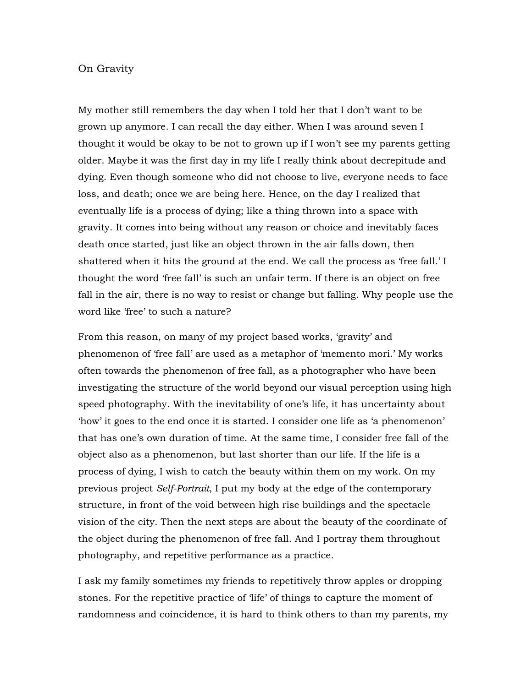## On Gravity

My mother still remembers the day when I told her that I don't want to be grown up anymore. I can recall the day either. When I was around seven I thought it would be okay to be not to grown up if I won't see my parents getting older. Maybe it was the first day in my life I really think about decrepitude and dying. Even though someone who did not choose to live, everyone needs to face loss, and death; once we are being here. Hence, on the day I realized that eventually life is a process of dying; like a thing thrown into a space with gravity. It comes into being without any reason or choice and inevitably faces death once started, just like an object thrown in the air falls down, then shattered when it hits the ground at the end. We call the process as 'free fall.' I thought the word 'free fall' is such an unfair term. If there is an object on free fall in the air, there is no way to resist or change but falling. Why people use the word like 'free' to such a nature?

From this reason, on many of my project based works, 'gravity' and phenomenon of 'free fall' are used as a metaphor of 'memento mori.' My works often towards the phenomenon of free fall, as a photographer who have been investigating the structure of the world beyond our visual perception using high speed photography. With the inevitability of one's life, it has uncertainty about 'how' it goes to the end once it is started. I consider one life as 'a phenomenon' that has one's own duration of time. At the same time, I consider free fall of the object also as a phenomenon, but last shorter than our life. If the life is a process of dying, I wish to catch the beauty within them on my work. On my previous project *Self-Portrait*, I put my body at the edge of the contemporary structure, in front of the void between high rise buildings and the spectacle vision of the city. Then the next steps are about the beauty of the coordinate of the object during the phenomenon of free fall. And I portray them throughout photography, and repetitive performance as a practice.

I ask my family sometimes my friends to repetitively throw apples or dropping stones. For the repetitive practice of 'life' of things to capture the moment of randomness and coincidence, it is hard to think others to than my parents, my